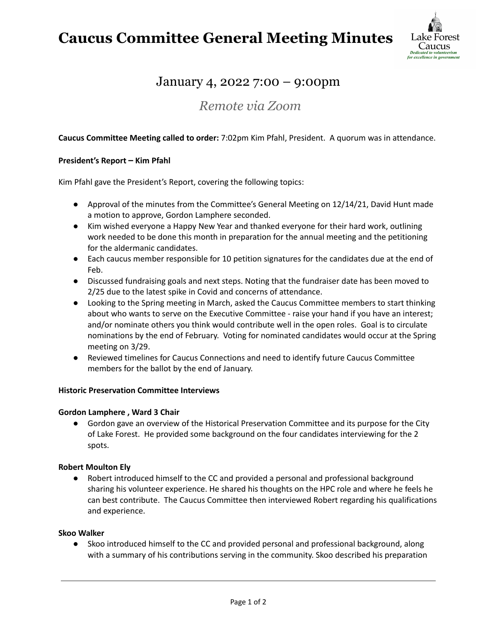## **Caucus Committee General Meeting Minutes**



## January 4, 2022 7:00 – 9:00pm

### *Remote via Zoom*

#### **Caucus Committee Meeting called to order:** 7:02pm Kim Pfahl, President. A quorum was in attendance.

#### **President's Report – Kim Pfahl**

Kim Pfahl gave the President's Report, covering the following topics:

- Approval of the minutes from the Committee's General Meeting on 12/14/21, David Hunt made a motion to approve, Gordon Lamphere seconded.
- Kim wished everyone a Happy New Year and thanked everyone for their hard work, outlining work needed to be done this month in preparation for the annual meeting and the petitioning for the aldermanic candidates.
- Each caucus member responsible for 10 petition signatures for the candidates due at the end of Feb.
- Discussed fundraising goals and next steps. Noting that the fundraiser date has been moved to 2/25 due to the latest spike in Covid and concerns of attendance.
- Looking to the Spring meeting in March, asked the Caucus Committee members to start thinking about who wants to serve on the Executive Committee - raise your hand if you have an interest; and/or nominate others you think would contribute well in the open roles. Goal is to circulate nominations by the end of February. Voting for nominated candidates would occur at the Spring meeting on 3/29.
- Reviewed timelines for Caucus Connections and need to identify future Caucus Committee members for the ballot by the end of January.

#### **Historic Preservation Committee Interviews**

#### **Gordon Lamphere , Ward 3 Chair**

● Gordon gave an overview of the Historical Preservation Committee and its purpose for the City of Lake Forest. He provided some background on the four candidates interviewing for the 2 spots.

#### **Robert Moulton Ely**

● Robert introduced himself to the CC and provided a personal and professional background sharing his volunteer experience. He shared his thoughts on the HPC role and where he feels he can best contribute. The Caucus Committee then interviewed Robert regarding his qualifications and experience.

#### **Skoo Walker**

● Skoo introduced himself to the CC and provided personal and professional background, along with a summary of his contributions serving in the community. Skoo described his preparation